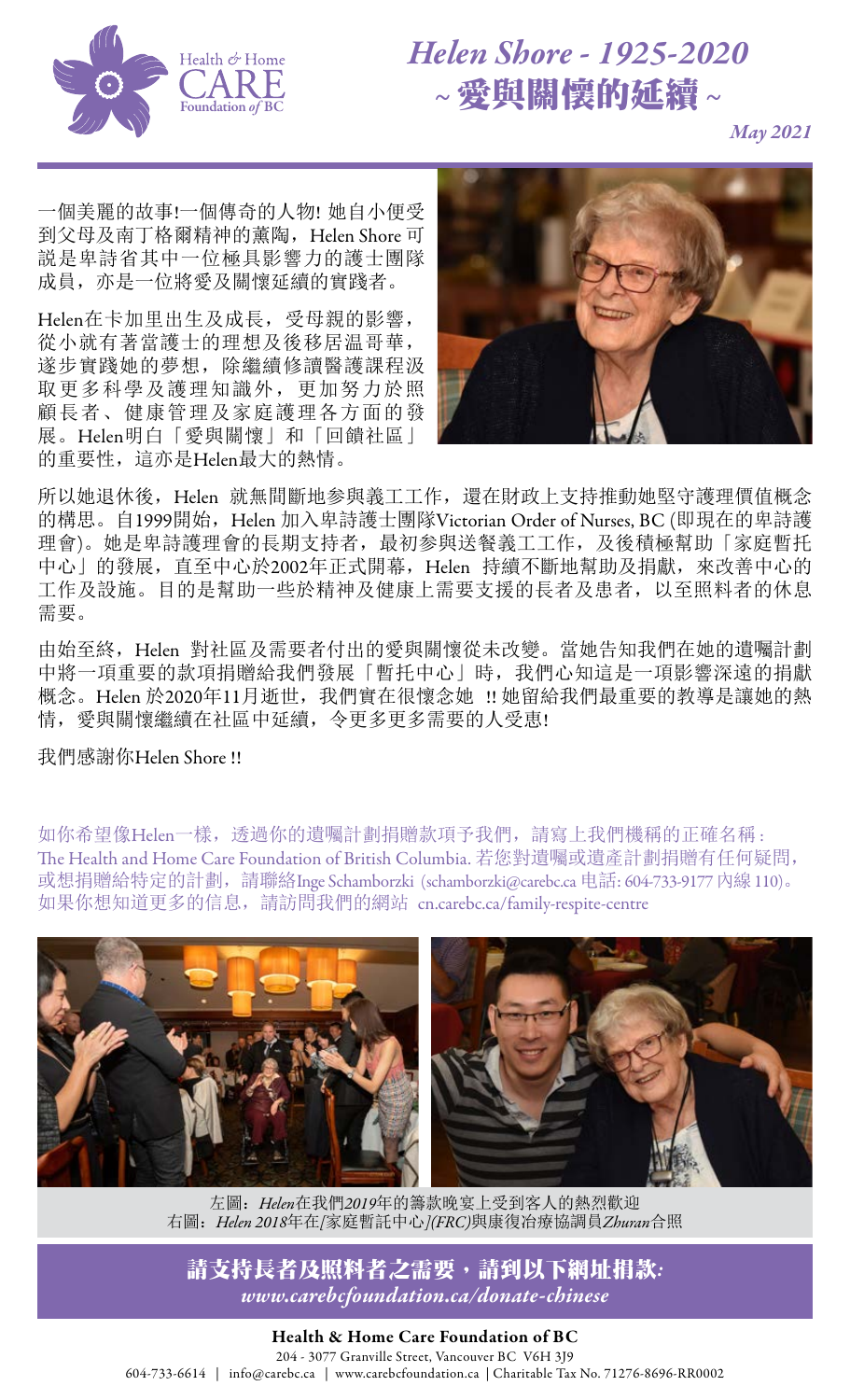

## *Helen Shore - 1925-2020 ~* 愛與關懷的延續 *~*

*May 2021*

一個美麗的故事!一個傳奇的人物! 她自小便受 到父母及南丁格爾精神的薰陶,Helen Shore 可 説是卑詩省其中一位極具影響力的護士團隊 成員,亦是一位將愛及關懷延續的實踐者。

Helen在卡加里出生及成長,受母親的影響, 從小就有著當護士的理想及後移居温哥華, 遂步實踐她的夢想,除繼續修讀醫護課程汲 取更多科學及護理知識外,更加努力於照 顧長者、健康管理及家庭護理各方面的發 展。Helen明白「愛與關懷」和「回饋社區」 的重要性,這亦是Helen最大的熱情。



所以她退休後, Helen 就無間斷地参與義工工作,還在財政上支持推動她堅守護理價值概念 的構思。自1999開始, Helen 加入卑詩護士團隊Victorian Order of Nurses, BC (即現在的卑詩護 理會)。她是卑詩護理會的長期支持者,最初参與送餐義工工作,及後積極幫助「家庭暫托 中心」的發展, 直至中心於2002年正式開幕, Helen 持續不斷地幫助及捐獻, 來改善中心的 工作及設施。目的是幫助一些於精神及健康上需要支援的長者及患者,以至照料者的休息 需要。

由始至終,Helen 對社區及需要者付出的愛與關懷從未改變。當她告知我們在她的遺囑計劃 中將一項重要的款項捐贈給我們發展「暫托中心」時,我們心知這是一項影響深遠的捐獻 概念。Helen 於2020年11月逝世,我們實在很懷念她 !! 她留給我們最重要的教導是讓她的熱 情,愛與關懷繼續在社區中延續,令更多更多需要的人受恵!

我們感謝你Helen Shore !!

如你希望像Helen一樣,透過你的遺囑計劃捐贈款項予我們,請寫上我們機稱的正確名稱: The Health and Home Care Foundation of British Columbia. 若您對遺囑或遺產計劃捐贈有任何疑問, 或想捐贈給特定的計劃,請聯絡Inge Schamborzki [\(schamborzki@carebc.ca](mailto:schamborzki%40carebc.ca?subject=) 电話: 604-733-9177 內線110)。 如果你想知道更多的信息,請訪問我們的網站 [cn.carebc.ca/family-respite-centre](https://cn.carebc.ca/family-respite-centre.html)



左圖:*Helen*在我們*2019*年的籌款晚宴上受到客人的熱烈歡迎 右圖:*Helen 2018*年在*[*家庭暫託中心*](FRC)*與康復冶療協調員*Zhuran*合照

請支持長者及照料者之需要,請到以下網址捐款*: [www.carebcfoundation.ca/donate-chinese](https://www.carebcfoundation.ca/donate-chinese.html)*

## Health & Home Care Foundation of BC 204 - 3077 Granville Street, Vancouver BC V6H 3J9 604-733-6614 | [info@carebc.ca](mailto:info%40carebc.ca?subject=) | [www.carebcfoundation.ca](https://www.carebcfoundation.ca/) | Charitable Tax No. 71276-8696-RR0002